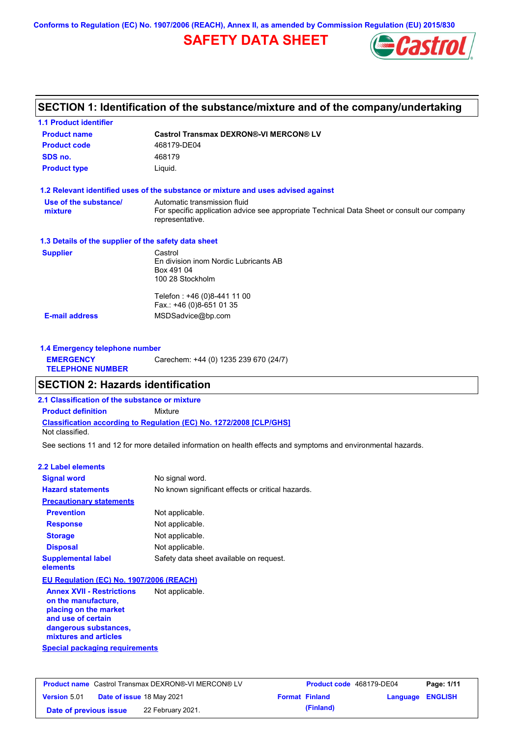**Conforms to Regulation (EC) No. 1907/2006 (REACH), Annex II, as amended by Commission Regulation (EU) 2015/830**

# **SAFETY DATA SHEET**



## **SECTION 1: Identification of the substance/mixture and of the company/undertaking**

| <b>1.1 Product identifier</b>                        |                                                                                                                                                |
|------------------------------------------------------|------------------------------------------------------------------------------------------------------------------------------------------------|
| <b>Product name</b>                                  | <b>Castrol Transmax DEXRON®-VI MERCON® LV</b>                                                                                                  |
| <b>Product code</b>                                  | 468179-DE04                                                                                                                                    |
| SDS no.                                              | 468179                                                                                                                                         |
| <b>Product type</b>                                  | Liquid.                                                                                                                                        |
|                                                      | 1.2 Relevant identified uses of the substance or mixture and uses advised against                                                              |
| Use of the substance/<br>mixture                     | Automatic transmission fluid<br>For specific application advice see appropriate Technical Data Sheet or consult our company<br>representative. |
| 1.3 Details of the supplier of the safety data sheet |                                                                                                                                                |
| <b>Supplier</b>                                      | Castrol<br>En division inom Nordic Lubricants AB<br>Box 491 04<br>100 28 Stockholm                                                             |
|                                                      | Telefon: +46 (0)8-441 11 00<br>Fax.: +46 (0)8-651 01 35                                                                                        |
| <b>E-mail address</b>                                | MSDSadvice@bp.com                                                                                                                              |
| 1.4 Emergency telephone number                       |                                                                                                                                                |
| <b>EMERGENCY</b><br><b>TELEPHONE NUMBER</b>          | Carechem: +44 (0) 1235 239 670 (24/7)                                                                                                          |
| SECTION 2: Hazarde identification                    |                                                                                                                                                |

### **SECTION 2: Hazards identification**

**2.1 Classification of the substance or mixture**

**Classification according to Regulation (EC) No. 1272/2008 [CLP/GHS] Product definition** Mixture

Not classified.

See sections 11 and 12 for more detailed information on health effects and symptoms and environmental hazards.

### **2.2 Label elements**

| <b>Signal word</b>                                                               | No signal word.                                   |
|----------------------------------------------------------------------------------|---------------------------------------------------|
| <b>Hazard statements</b>                                                         | No known significant effects or critical hazards. |
| <b>Precautionary statements</b>                                                  |                                                   |
| <b>Prevention</b>                                                                | Not applicable.                                   |
| <b>Response</b>                                                                  | Not applicable.                                   |
| <b>Storage</b>                                                                   | Not applicable.                                   |
| <b>Disposal</b>                                                                  | Not applicable.                                   |
| <b>Supplemental label</b><br>elements                                            | Safety data sheet available on request.           |
| EU Regulation (EC) No. 1907/2006 (REACH)                                         |                                                   |
| <b>Annex XVII - Restrictions</b><br>on the manufacture,<br>nlacing on the market | Not applicable.                                   |

**Special packaging requirements placing on the market and use of certain dangerous substances, mixtures and articles**

|                        | <b>Product name</b> Castrol Transmax DEXRON®-VI MERCON® LV | <b>Product code</b> 468179-DE04 |                  | Page: 1/11 |
|------------------------|------------------------------------------------------------|---------------------------------|------------------|------------|
| <b>Version</b> 5.01    | <b>Date of issue 18 May 2021</b>                           | <b>Format Finland</b>           | Language ENGLISH |            |
| Date of previous issue | 22 February 2021.                                          | (Finland)                       |                  |            |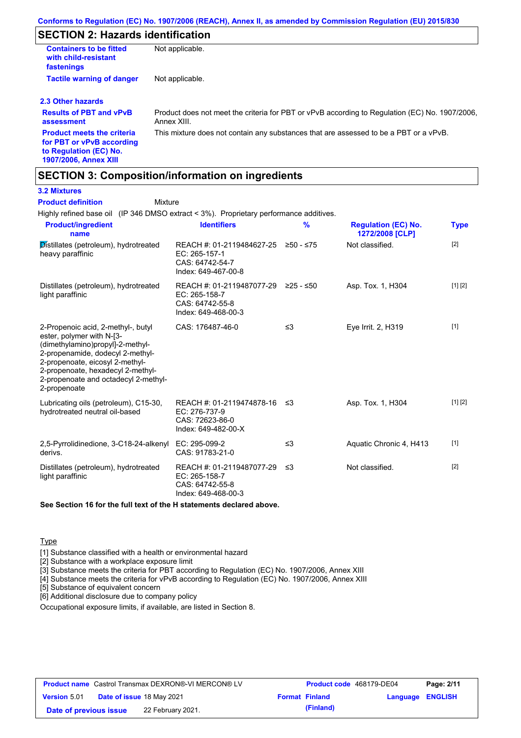## **SECTION 2: Hazards identification**

| <b>Containers to be fitted</b><br>with child-resistant<br>fastenings | Not applicable.                                                                                               |
|----------------------------------------------------------------------|---------------------------------------------------------------------------------------------------------------|
| <b>Tactile warning of danger</b>                                     | Not applicable.                                                                                               |
| 2.3 Other hazards                                                    |                                                                                                               |
| <b>Results of PBT and vPvB</b><br>assessment                         | Product does not meet the criteria for PBT or vPvB according to Regulation (EC) No. 1907/2006.<br>Annex XIII. |
| <b>Product meets the criteria</b>                                    | This mixture does not contain any substances that are assessed to be a PBT or a vPvB.                         |

**for PBT or vPvB according to Regulation (EC) No. 1907/2006, Annex XIII**

## **SECTION 3: Composition/information on ingredients**

**Mixture** 

### **3.2 Mixtures**

**Product definition**

Highly refined base oil (IP 346 DMSO extract < 3%). Proprietary performance additives.

| <b>Product/ingredient</b><br>name                                                                                                                                                                                                                                       | <b>Identifiers</b>                                                                             | $\frac{9}{6}$ | <b>Regulation (EC) No.</b><br>1272/2008 [CLP] | <b>Type</b> |
|-------------------------------------------------------------------------------------------------------------------------------------------------------------------------------------------------------------------------------------------------------------------------|------------------------------------------------------------------------------------------------|---------------|-----------------------------------------------|-------------|
| Distillates (petroleum), hydrotreated<br>heavy paraffinic                                                                                                                                                                                                               | REACH #: 01-2119484627-25 ≥50 - ≤75<br>EC: 265-157-1<br>CAS: 64742-54-7<br>Index: 649-467-00-8 |               | Not classified.                               | $[2]$       |
| Distillates (petroleum), hydrotreated<br>light paraffinic                                                                                                                                                                                                               | REACH #: 01-2119487077-29<br>EC: 265-158-7<br>CAS: 64742-55-8<br>Index: 649-468-00-3           | ≥25 - ≤50     | Asp. Tox. 1, H304                             | [1] [2]     |
| 2-Propenoic acid, 2-methyl-, butyl<br>ester, polymer with N-[3-<br>(dimethylamino)propyl]-2-methyl-<br>2-propenamide, dodecyl 2-methyl-<br>2-propenoate, eicosyl 2-methyl-<br>2-propenoate, hexadecyl 2-methyl-<br>2-propenoate and octadecyl 2-methyl-<br>2-propenoate | CAS: 176487-46-0                                                                               | $\leq$ 3      | Eye Irrit. 2, H319                            | $[1]$       |
| Lubricating oils (petroleum), C15-30,<br>hydrotreated neutral oil-based                                                                                                                                                                                                 | REACH #: 01-2119474878-16 ≤3<br>EC: 276-737-9<br>CAS: 72623-86-0<br>Index: 649-482-00-X        |               | Asp. Tox. 1, H304                             | [1] [2]     |
| 2,5-Pyrrolidinedione, 3-C18-24-alkenyl<br>derivs.                                                                                                                                                                                                                       | EC: 295-099-2<br>CAS: 91783-21-0                                                               | ≤3            | Aquatic Chronic 4, H413                       | $[1]$       |
| Distillates (petroleum), hydrotreated<br>light paraffinic                                                                                                                                                                                                               | REACH #: 01-2119487077-29<br>EC: 265-158-7<br>CAS: 64742-55-8<br>Index: 649-468-00-3           | -≤3           | Not classified.                               | $[2]$       |
|                                                                                                                                                                                                                                                                         |                                                                                                |               |                                               |             |

**See Section 16 for the full text of the H statements declared above.**

### **Type**

[1] Substance classified with a health or environmental hazard

[2] Substance with a workplace exposure limit

[3] Substance meets the criteria for PBT according to Regulation (EC) No. 1907/2006, Annex XIII

[4] Substance meets the criteria for vPvB according to Regulation (EC) No. 1907/2006, Annex XIII

[5] Substance of equivalent concern

[6] Additional disclosure due to company policy

Occupational exposure limits, if available, are listed in Section 8.

|                        | <b>Product name</b> Castrol Transmax DEXRON®-VI MERCON® LV | <b>Product code</b> 468179-DE04 |                         | Page: 2/11 |
|------------------------|------------------------------------------------------------|---------------------------------|-------------------------|------------|
| <b>Version 5.01</b>    | Date of issue 18 May 2021                                  | <b>Format Finland</b>           | <b>Language ENGLISH</b> |            |
| Date of previous issue | 22 February 2021.                                          | (Finland)                       |                         |            |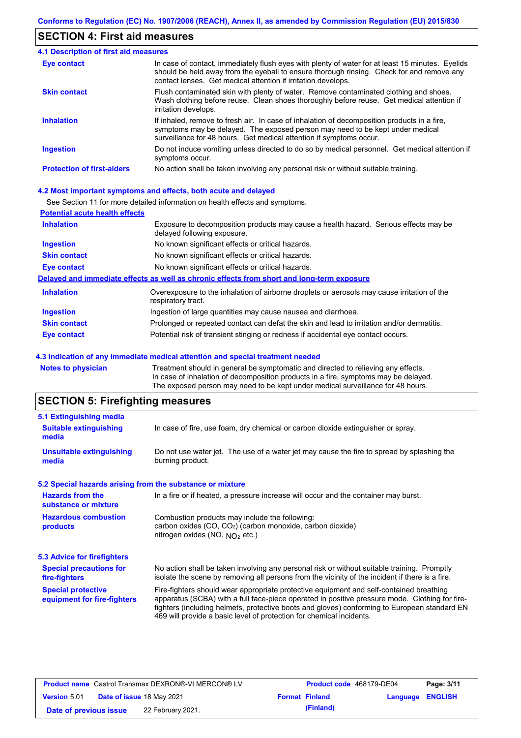## **SECTION 4: First aid measures**

| 4.1 Description of first aid measures |                                                                                                                                                                                                                                                                |  |  |  |  |
|---------------------------------------|----------------------------------------------------------------------------------------------------------------------------------------------------------------------------------------------------------------------------------------------------------------|--|--|--|--|
| Eye contact                           | In case of contact, immediately flush eyes with plenty of water for at least 15 minutes. Eyelids<br>should be held away from the eyeball to ensure thorough rinsing. Check for and remove any<br>contact lenses. Get medical attention if irritation develops. |  |  |  |  |
| <b>Skin contact</b>                   | Flush contaminated skin with plenty of water. Remove contaminated clothing and shoes.<br>Wash clothing before reuse. Clean shoes thoroughly before reuse. Get medical attention if<br>irritation develops.                                                     |  |  |  |  |
| <b>Inhalation</b>                     | If inhaled, remove to fresh air. In case of inhalation of decomposition products in a fire,<br>symptoms may be delayed. The exposed person may need to be kept under medical<br>surveillance for 48 hours. Get medical attention if symptoms occur.            |  |  |  |  |
| <b>Ingestion</b>                      | Do not induce vomiting unless directed to do so by medical personnel. Get medical attention if<br>symptoms occur.                                                                                                                                              |  |  |  |  |
| <b>Protection of first-aiders</b>     | No action shall be taken involving any personal risk or without suitable training.                                                                                                                                                                             |  |  |  |  |

### **4.2 Most important symptoms and effects, both acute and delayed**

See Section 11 for more detailed information on health effects and symptoms.

| <b>Potential acute health effects</b> |                                                                                                                     |
|---------------------------------------|---------------------------------------------------------------------------------------------------------------------|
| <b>Inhalation</b>                     | Exposure to decomposition products may cause a health hazard. Serious effects may be<br>delayed following exposure. |
| <b>Ingestion</b>                      | No known significant effects or critical hazards.                                                                   |
| <b>Skin contact</b>                   | No known significant effects or critical hazards.                                                                   |
| Eye contact                           | No known significant effects or critical hazards.                                                                   |
|                                       | Delayed and immediate effects as well as chronic effects from short and long-term exposure                          |
| <b>Inhalation</b>                     | Overexposure to the inhalation of airborne droplets or aerosols may cause irritation of the<br>respiratory tract.   |
| <b>Ingestion</b>                      | Ingestion of large quantities may cause nausea and diarrhoea.                                                       |
| <b>Skin contact</b>                   | Prolonged or repeated contact can defat the skin and lead to irritation and/or dermatitis.                          |
| Eye contact                           | Potential risk of transient stinging or redness if accidental eye contact occurs.                                   |
|                                       |                                                                                                                     |

#### **4.3 Indication of any immediate medical attention and special treatment needed**

**Notes to physician** Treatment should in general be symptomatic and directed to relieving any effects. In case of inhalation of decomposition products in a fire, symptoms may be delayed. The exposed person may need to be kept under medical surveillance for 48 hours.

# **SECTION 5: Firefighting measures**

| 5.1 Extinguishing media                                                                                                                                                                                 |                                                                                                                                                                                                                                                                                                                                                                   |  |  |  |  |
|---------------------------------------------------------------------------------------------------------------------------------------------------------------------------------------------------------|-------------------------------------------------------------------------------------------------------------------------------------------------------------------------------------------------------------------------------------------------------------------------------------------------------------------------------------------------------------------|--|--|--|--|
| In case of fire, use foam, dry chemical or carbon dioxide extinguisher or spray.<br><b>Suitable extinguishing</b><br>media                                                                              |                                                                                                                                                                                                                                                                                                                                                                   |  |  |  |  |
| <b>Unsuitable extinguishing</b><br>media                                                                                                                                                                | Do not use water jet. The use of a water jet may cause the fire to spread by splashing the<br>burning product.                                                                                                                                                                                                                                                    |  |  |  |  |
| 5.2 Special hazards arising from the substance or mixture                                                                                                                                               |                                                                                                                                                                                                                                                                                                                                                                   |  |  |  |  |
| <b>Hazards from the</b><br>substance or mixture                                                                                                                                                         | In a fire or if heated, a pressure increase will occur and the container may burst.                                                                                                                                                                                                                                                                               |  |  |  |  |
| <b>Hazardous combustion</b><br>Combustion products may include the following:<br>carbon oxides (CO, CO <sub>2</sub> ) (carbon monoxide, carbon dioxide)<br>products<br>nitrogen oxides (NO, $NO2$ etc.) |                                                                                                                                                                                                                                                                                                                                                                   |  |  |  |  |
| 5.3 Advice for firefighters                                                                                                                                                                             |                                                                                                                                                                                                                                                                                                                                                                   |  |  |  |  |
| <b>Special precautions for</b><br>fire-fighters                                                                                                                                                         | No action shall be taken involving any personal risk or without suitable training. Promptly<br>isolate the scene by removing all persons from the vicinity of the incident if there is a fire.                                                                                                                                                                    |  |  |  |  |
| <b>Special protective</b><br>equipment for fire-fighters                                                                                                                                                | Fire-fighters should wear appropriate protective equipment and self-contained breathing<br>apparatus (SCBA) with a full face-piece operated in positive pressure mode. Clothing for fire-<br>fighters (including helmets, protective boots and gloves) conforming to European standard EN<br>469 will provide a basic level of protection for chemical incidents. |  |  |  |  |

|                        | <b>Product name</b> Castrol Transmax DEXRON®-VI MERCON® LV | <b>Product code</b> 468179-DE04 |                  | Page: 3/11 |
|------------------------|------------------------------------------------------------|---------------------------------|------------------|------------|
| <b>Version 5.01</b>    | <b>Date of issue 18 May 2021</b>                           | <b>Format Finland</b>           | Language ENGLISH |            |
| Date of previous issue | 22 February 2021.                                          | (Finland)                       |                  |            |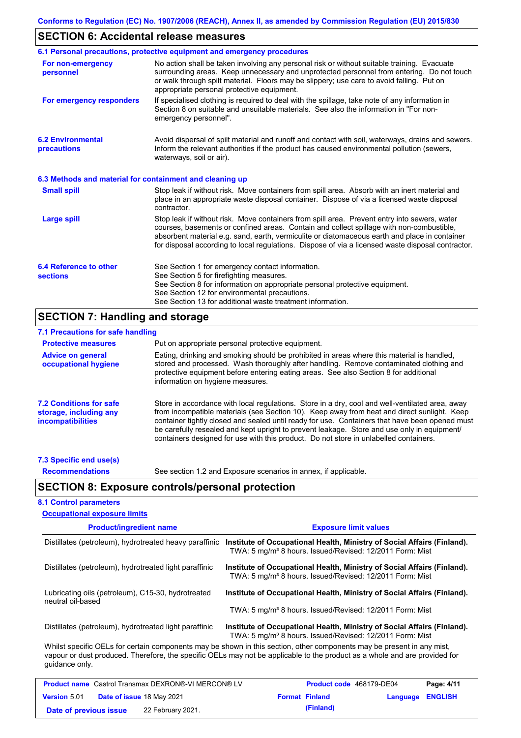## **SECTION 6: Accidental release measures**

|                                                          | 6.1 Personal precautions, protective equipment and emergency procedures                                                                                                                                                                                                                                                                                                                        |
|----------------------------------------------------------|------------------------------------------------------------------------------------------------------------------------------------------------------------------------------------------------------------------------------------------------------------------------------------------------------------------------------------------------------------------------------------------------|
| For non-emergency<br>personnel                           | No action shall be taken involving any personal risk or without suitable training. Evacuate<br>surrounding areas. Keep unnecessary and unprotected personnel from entering. Do not touch<br>or walk through spilt material. Floors may be slippery; use care to avoid falling. Put on<br>appropriate personal protective equipment.                                                            |
| For emergency responders                                 | If specialised clothing is required to deal with the spillage, take note of any information in<br>Section 8 on suitable and unsuitable materials. See also the information in "For non-<br>emergency personnel".                                                                                                                                                                               |
| <b>6.2 Environmental</b><br>precautions                  | Avoid dispersal of spilt material and runoff and contact with soil, waterways, drains and sewers.<br>Inform the relevant authorities if the product has caused environmental pollution (sewers,<br>waterways, soil or air).                                                                                                                                                                    |
| 6.3 Methods and material for containment and cleaning up |                                                                                                                                                                                                                                                                                                                                                                                                |
| <b>Small spill</b>                                       | Stop leak if without risk. Move containers from spill area. Absorb with an inert material and<br>place in an appropriate waste disposal container. Dispose of via a licensed waste disposal<br>contractor.                                                                                                                                                                                     |
| <b>Large spill</b>                                       | Stop leak if without risk. Move containers from spill area. Prevent entry into sewers, water<br>courses, basements or confined areas. Contain and collect spillage with non-combustible,<br>absorbent material e.g. sand, earth, vermiculite or diatomaceous earth and place in container<br>for disposal according to local regulations. Dispose of via a licensed waste disposal contractor. |
| 6.4 Reference to other<br><b>sections</b>                | See Section 1 for emergency contact information.<br>See Section 5 for firefighting measures.<br>See Section 8 for information on appropriate personal protective equipment.<br>See Section 12 for environmental precautions.<br>See Section 13 for additional waste treatment information.                                                                                                     |

# **SECTION 7: Handling and storage**

| 7.1 Precautions for safe handling                                             |                                                                                                                                                                                                                                                                                                                                                                                                                                                                                          |
|-------------------------------------------------------------------------------|------------------------------------------------------------------------------------------------------------------------------------------------------------------------------------------------------------------------------------------------------------------------------------------------------------------------------------------------------------------------------------------------------------------------------------------------------------------------------------------|
| <b>Protective measures</b>                                                    | Put on appropriate personal protective equipment.                                                                                                                                                                                                                                                                                                                                                                                                                                        |
| <b>Advice on general</b><br>occupational hygiene                              | Eating, drinking and smoking should be prohibited in areas where this material is handled.<br>stored and processed. Wash thoroughly after handling. Remove contaminated clothing and<br>protective equipment before entering eating areas. See also Section 8 for additional<br>information on hygiene measures.                                                                                                                                                                         |
| 7.2 Conditions for safe<br>storage, including any<br><i>incompatibilities</i> | Store in accordance with local requiations. Store in a dry, cool and well-ventilated area, away<br>from incompatible materials (see Section 10). Keep away from heat and direct sunlight. Keep<br>container tightly closed and sealed until ready for use. Containers that have been opened must<br>be carefully resealed and kept upright to prevent leakage. Store and use only in equipment/<br>containers designed for use with this product. Do not store in unlabelled containers. |
| 7.3 Specific end use(s)                                                       |                                                                                                                                                                                                                                                                                                                                                                                                                                                                                          |

**Recommendations**

See section 1.2 and Exposure scenarios in annex, if applicable.

## **SECTION 8: Exposure controls/personal protection**

### **8.1 Control parameters**

| <b>Occupational exposure limits</b>                                     |                                                                                                                                                                                                                                                      |
|-------------------------------------------------------------------------|------------------------------------------------------------------------------------------------------------------------------------------------------------------------------------------------------------------------------------------------------|
| <b>Product/ingredient name</b>                                          | <b>Exposure limit values</b>                                                                                                                                                                                                                         |
| Distillates (petroleum), hydrotreated heavy paraffinic                  | Institute of Occupational Health, Ministry of Social Affairs (Finland).<br>TWA: 5 mg/m <sup>3</sup> 8 hours. Issued/Revised: 12/2011 Form: Mist                                                                                                      |
| Distillates (petroleum), hydrotreated light paraffinic                  | Institute of Occupational Health, Ministry of Social Affairs (Finland).<br>TWA: 5 mg/m <sup>3</sup> 8 hours. Issued/Revised: 12/2011 Form: Mist                                                                                                      |
| Lubricating oils (petroleum), C15-30, hydrotreated<br>neutral oil-based | Institute of Occupational Health, Ministry of Social Affairs (Finland).                                                                                                                                                                              |
|                                                                         | TWA: 5 mg/m <sup>3</sup> 8 hours. Issued/Revised: 12/2011 Form: Mist                                                                                                                                                                                 |
| Distillates (petroleum), hydrotreated light paraffinic                  | Institute of Occupational Health, Ministry of Social Affairs (Finland).<br>TWA: 5 mg/m <sup>3</sup> 8 hours. Issued/Revised: 12/2011 Form: Mist                                                                                                      |
| quidance only.                                                          | Whilst specific OELs for certain components may be shown in this section, other components may be present in any mist,<br>vapour or dust produced. Therefore, the specific OELs may not be applicable to the product as a whole and are provided for |
|                                                                         |                                                                                                                                                                                                                                                      |

|                        | <b>Product name</b> Castrol Transmax DEXRON®-VI MERCON® LV | <b>Product code</b> 468179-DE04 |                  | Page: 4/11 |
|------------------------|------------------------------------------------------------|---------------------------------|------------------|------------|
| <b>Version 5.01</b>    | <b>Date of issue 18 May 2021</b>                           | <b>Format Finland</b>           | Language ENGLISH |            |
| Date of previous issue | 22 February 2021.                                          | (Finland)                       |                  |            |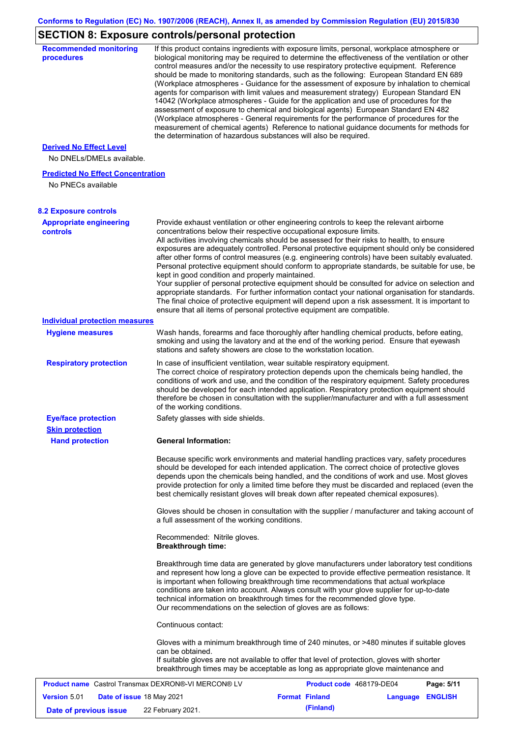# **SECTION 8: Exposure controls/personal protection**

| <b>Recommended monitoring</b><br>procedures                    | If this product contains ingredients with exposure limits, personal, workplace atmosphere or<br>biological monitoring may be required to determine the effectiveness of the ventilation or other<br>control measures and/or the necessity to use respiratory protective equipment. Reference<br>should be made to monitoring standards, such as the following: European Standard EN 689<br>(Workplace atmospheres - Guidance for the assessment of exposure by inhalation to chemical<br>agents for comparison with limit values and measurement strategy) European Standard EN<br>14042 (Workplace atmospheres - Guide for the application and use of procedures for the<br>assessment of exposure to chemical and biological agents) European Standard EN 482<br>(Workplace atmospheres - General requirements for the performance of procedures for the<br>measurement of chemical agents) Reference to national guidance documents for methods for<br>the determination of hazardous substances will also be required. |                          |                  |            |
|----------------------------------------------------------------|----------------------------------------------------------------------------------------------------------------------------------------------------------------------------------------------------------------------------------------------------------------------------------------------------------------------------------------------------------------------------------------------------------------------------------------------------------------------------------------------------------------------------------------------------------------------------------------------------------------------------------------------------------------------------------------------------------------------------------------------------------------------------------------------------------------------------------------------------------------------------------------------------------------------------------------------------------------------------------------------------------------------------|--------------------------|------------------|------------|
| <b>Derived No Effect Level</b><br>No DNELs/DMELs available.    |                                                                                                                                                                                                                                                                                                                                                                                                                                                                                                                                                                                                                                                                                                                                                                                                                                                                                                                                                                                                                            |                          |                  |            |
| <b>Predicted No Effect Concentration</b><br>No PNECs available |                                                                                                                                                                                                                                                                                                                                                                                                                                                                                                                                                                                                                                                                                                                                                                                                                                                                                                                                                                                                                            |                          |                  |            |
| <b>8.2 Exposure controls</b>                                   |                                                                                                                                                                                                                                                                                                                                                                                                                                                                                                                                                                                                                                                                                                                                                                                                                                                                                                                                                                                                                            |                          |                  |            |
| <b>Appropriate engineering</b><br><b>controls</b>              | Provide exhaust ventilation or other engineering controls to keep the relevant airborne<br>concentrations below their respective occupational exposure limits.<br>All activities involving chemicals should be assessed for their risks to health, to ensure<br>exposures are adequately controlled. Personal protective equipment should only be considered<br>after other forms of control measures (e.g. engineering controls) have been suitably evaluated.<br>Personal protective equipment should conform to appropriate standards, be suitable for use, be<br>kept in good condition and properly maintained.<br>Your supplier of personal protective equipment should be consulted for advice on selection and<br>appropriate standards. For further information contact your national organisation for standards.<br>The final choice of protective equipment will depend upon a risk assessment. It is important to<br>ensure that all items of personal protective equipment are compatible.                    |                          |                  |            |
| <b>Individual protection measures</b>                          |                                                                                                                                                                                                                                                                                                                                                                                                                                                                                                                                                                                                                                                                                                                                                                                                                                                                                                                                                                                                                            |                          |                  |            |
| <b>Hygiene measures</b>                                        | Wash hands, forearms and face thoroughly after handling chemical products, before eating,<br>smoking and using the lavatory and at the end of the working period. Ensure that eyewash<br>stations and safety showers are close to the workstation location.                                                                                                                                                                                                                                                                                                                                                                                                                                                                                                                                                                                                                                                                                                                                                                |                          |                  |            |
| <b>Respiratory protection</b>                                  | In case of insufficient ventilation, wear suitable respiratory equipment.<br>The correct choice of respiratory protection depends upon the chemicals being handled, the<br>conditions of work and use, and the condition of the respiratory equipment. Safety procedures<br>should be developed for each intended application. Respiratory protection equipment should<br>therefore be chosen in consultation with the supplier/manufacturer and with a full assessment<br>of the working conditions.                                                                                                                                                                                                                                                                                                                                                                                                                                                                                                                      |                          |                  |            |
| <b>Eye/face protection</b>                                     | Safety glasses with side shields.                                                                                                                                                                                                                                                                                                                                                                                                                                                                                                                                                                                                                                                                                                                                                                                                                                                                                                                                                                                          |                          |                  |            |
| <b>Skin protection</b>                                         |                                                                                                                                                                                                                                                                                                                                                                                                                                                                                                                                                                                                                                                                                                                                                                                                                                                                                                                                                                                                                            |                          |                  |            |
| <b>Hand protection</b>                                         | <b>General Information:</b>                                                                                                                                                                                                                                                                                                                                                                                                                                                                                                                                                                                                                                                                                                                                                                                                                                                                                                                                                                                                |                          |                  |            |
|                                                                | Because specific work environments and material handling practices vary, safety procedures<br>should be developed for each intended application. The correct choice of protective gloves<br>depends upon the chemicals being handled, and the conditions of work and use. Most gloves<br>provide protection for only a limited time before they must be discarded and replaced (even the<br>best chemically resistant gloves will break down after repeated chemical exposures).<br>Gloves should be chosen in consultation with the supplier / manufacturer and taking account of                                                                                                                                                                                                                                                                                                                                                                                                                                         |                          |                  |            |
|                                                                | a full assessment of the working conditions.                                                                                                                                                                                                                                                                                                                                                                                                                                                                                                                                                                                                                                                                                                                                                                                                                                                                                                                                                                               |                          |                  |            |
|                                                                | Recommended: Nitrile gloves.<br><b>Breakthrough time:</b>                                                                                                                                                                                                                                                                                                                                                                                                                                                                                                                                                                                                                                                                                                                                                                                                                                                                                                                                                                  |                          |                  |            |
|                                                                | Breakthrough time data are generated by glove manufacturers under laboratory test conditions<br>and represent how long a glove can be expected to provide effective permeation resistance. It<br>is important when following breakthrough time recommendations that actual workplace<br>conditions are taken into account. Always consult with your glove supplier for up-to-date<br>technical information on breakthrough times for the recommended glove type.<br>Our recommendations on the selection of gloves are as follows:                                                                                                                                                                                                                                                                                                                                                                                                                                                                                         |                          |                  |            |
|                                                                | Continuous contact:                                                                                                                                                                                                                                                                                                                                                                                                                                                                                                                                                                                                                                                                                                                                                                                                                                                                                                                                                                                                        |                          |                  |            |
|                                                                | Gloves with a minimum breakthrough time of 240 minutes, or >480 minutes if suitable gloves<br>can be obtained.<br>If suitable gloves are not available to offer that level of protection, gloves with shorter<br>breakthrough times may be acceptable as long as appropriate glove maintenance and                                                                                                                                                                                                                                                                                                                                                                                                                                                                                                                                                                                                                                                                                                                         |                          |                  |            |
| <b>Product name</b> Castrol Transmax DEXRON®-VI MERCON® LV     |                                                                                                                                                                                                                                                                                                                                                                                                                                                                                                                                                                                                                                                                                                                                                                                                                                                                                                                                                                                                                            | Product code 468179-DE04 |                  | Page: 5/11 |
| <b>Version 5.01</b><br>Date of issue 18 May 2021               |                                                                                                                                                                                                                                                                                                                                                                                                                                                                                                                                                                                                                                                                                                                                                                                                                                                                                                                                                                                                                            | <b>Format Finland</b>    | Language ENGLISH |            |
| Date of previous issue                                         | 22 February 2021.                                                                                                                                                                                                                                                                                                                                                                                                                                                                                                                                                                                                                                                                                                                                                                                                                                                                                                                                                                                                          | (Finland)                |                  |            |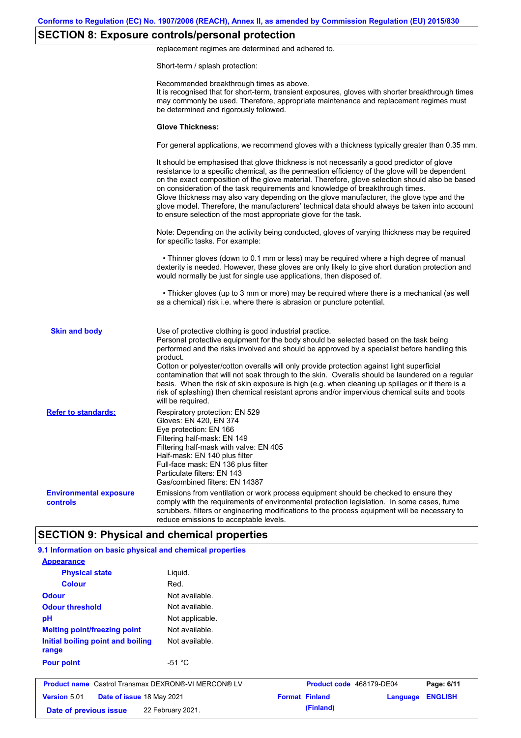# **SECTION 8: Exposure controls/personal protection**

replacement regimes are determined and adhered to.

Short-term / splash protection:

| <b>Glove Thickness:</b><br>For general applications, we recommend gloves with a thickness typically greater than 0.35 mm.<br>It should be emphasised that glove thickness is not necessarily a good predictor of glove<br>resistance to a specific chemical, as the permeation efficiency of the glove will be dependent<br>on the exact composition of the glove material. Therefore, glove selection should also be based<br>on consideration of the task requirements and knowledge of breakthrough times.<br>Glove thickness may also vary depending on the glove manufacturer, the glove type and the<br>glove model. Therefore, the manufacturers' technical data should always be taken into account<br>to ensure selection of the most appropriate glove for the task.<br>Note: Depending on the activity being conducted, gloves of varying thickness may be required<br>for specific tasks. For example:<br>• Thinner gloves (down to 0.1 mm or less) may be required where a high degree of manual<br>dexterity is needed. However, these gloves are only likely to give short duration protection and<br>would normally be just for single use applications, then disposed of.<br>• Thicker gloves (up to 3 mm or more) may be required where there is a mechanical (as well<br>as a chemical) risk i.e. where there is abrasion or puncture potential.<br><b>Skin and body</b><br>Use of protective clothing is good industrial practice.<br>Personal protective equipment for the body should be selected based on the task being<br>performed and the risks involved and should be approved by a specialist before handling this<br>product.<br>Cotton or polyester/cotton overalls will only provide protection against light superficial<br>contamination that will not soak through to the skin. Overalls should be laundered on a regular<br>basis. When the risk of skin exposure is high (e.g. when cleaning up spillages or if there is a<br>risk of splashing) then chemical resistant aprons and/or impervious chemical suits and boots<br>will be required.<br><b>Refer to standards:</b><br>Respiratory protection: EN 529<br>Gloves: EN 420, EN 374<br>Eye protection: EN 166<br>Filtering half-mask: EN 149<br>Filtering half-mask with valve: EN 405<br>Half-mask: EN 140 plus filter<br>Full-face mask: EN 136 plus filter<br>Particulate filters: EN 143<br>Gas/combined filters: EN 14387<br><b>Environmental exposure</b><br>Emissions from ventilation or work process equipment should be checked to ensure they<br>comply with the requirements of environmental protection legislation. In some cases, fume<br><b>controls</b><br>scrubbers, filters or engineering modifications to the process equipment will be necessary to<br>reduce emissions to acceptable levels. |                                                    | Recommended breakthrough times as above.<br>It is recognised that for short-term, transient exposures, gloves with shorter breakthrough times<br>may commonly be used. Therefore, appropriate maintenance and replacement regimes must<br>be determined and rigorously followed. |  |
|----------------------------------------------------------------------------------------------------------------------------------------------------------------------------------------------------------------------------------------------------------------------------------------------------------------------------------------------------------------------------------------------------------------------------------------------------------------------------------------------------------------------------------------------------------------------------------------------------------------------------------------------------------------------------------------------------------------------------------------------------------------------------------------------------------------------------------------------------------------------------------------------------------------------------------------------------------------------------------------------------------------------------------------------------------------------------------------------------------------------------------------------------------------------------------------------------------------------------------------------------------------------------------------------------------------------------------------------------------------------------------------------------------------------------------------------------------------------------------------------------------------------------------------------------------------------------------------------------------------------------------------------------------------------------------------------------------------------------------------------------------------------------------------------------------------------------------------------------------------------------------------------------------------------------------------------------------------------------------------------------------------------------------------------------------------------------------------------------------------------------------------------------------------------------------------------------------------------------------------------------------------------------------------------------------------------------------------------------------------------------------------------------------------------------------------------------------------------------------------------------------------------------------------------------------------------------------------------------------------------------------------------------------------------------------------------------------------------------------------------------------------------------------------------------------------|----------------------------------------------------|----------------------------------------------------------------------------------------------------------------------------------------------------------------------------------------------------------------------------------------------------------------------------------|--|
|                                                                                                                                                                                                                                                                                                                                                                                                                                                                                                                                                                                                                                                                                                                                                                                                                                                                                                                                                                                                                                                                                                                                                                                                                                                                                                                                                                                                                                                                                                                                                                                                                                                                                                                                                                                                                                                                                                                                                                                                                                                                                                                                                                                                                                                                                                                                                                                                                                                                                                                                                                                                                                                                                                                                                                                                                |                                                    |                                                                                                                                                                                                                                                                                  |  |
|                                                                                                                                                                                                                                                                                                                                                                                                                                                                                                                                                                                                                                                                                                                                                                                                                                                                                                                                                                                                                                                                                                                                                                                                                                                                                                                                                                                                                                                                                                                                                                                                                                                                                                                                                                                                                                                                                                                                                                                                                                                                                                                                                                                                                                                                                                                                                                                                                                                                                                                                                                                                                                                                                                                                                                                                                |                                                    |                                                                                                                                                                                                                                                                                  |  |
|                                                                                                                                                                                                                                                                                                                                                                                                                                                                                                                                                                                                                                                                                                                                                                                                                                                                                                                                                                                                                                                                                                                                                                                                                                                                                                                                                                                                                                                                                                                                                                                                                                                                                                                                                                                                                                                                                                                                                                                                                                                                                                                                                                                                                                                                                                                                                                                                                                                                                                                                                                                                                                                                                                                                                                                                                |                                                    |                                                                                                                                                                                                                                                                                  |  |
|                                                                                                                                                                                                                                                                                                                                                                                                                                                                                                                                                                                                                                                                                                                                                                                                                                                                                                                                                                                                                                                                                                                                                                                                                                                                                                                                                                                                                                                                                                                                                                                                                                                                                                                                                                                                                                                                                                                                                                                                                                                                                                                                                                                                                                                                                                                                                                                                                                                                                                                                                                                                                                                                                                                                                                                                                |                                                    |                                                                                                                                                                                                                                                                                  |  |
|                                                                                                                                                                                                                                                                                                                                                                                                                                                                                                                                                                                                                                                                                                                                                                                                                                                                                                                                                                                                                                                                                                                                                                                                                                                                                                                                                                                                                                                                                                                                                                                                                                                                                                                                                                                                                                                                                                                                                                                                                                                                                                                                                                                                                                                                                                                                                                                                                                                                                                                                                                                                                                                                                                                                                                                                                |                                                    |                                                                                                                                                                                                                                                                                  |  |
|                                                                                                                                                                                                                                                                                                                                                                                                                                                                                                                                                                                                                                                                                                                                                                                                                                                                                                                                                                                                                                                                                                                                                                                                                                                                                                                                                                                                                                                                                                                                                                                                                                                                                                                                                                                                                                                                                                                                                                                                                                                                                                                                                                                                                                                                                                                                                                                                                                                                                                                                                                                                                                                                                                                                                                                                                |                                                    |                                                                                                                                                                                                                                                                                  |  |
|                                                                                                                                                                                                                                                                                                                                                                                                                                                                                                                                                                                                                                                                                                                                                                                                                                                                                                                                                                                                                                                                                                                                                                                                                                                                                                                                                                                                                                                                                                                                                                                                                                                                                                                                                                                                                                                                                                                                                                                                                                                                                                                                                                                                                                                                                                                                                                                                                                                                                                                                                                                                                                                                                                                                                                                                                |                                                    |                                                                                                                                                                                                                                                                                  |  |
|                                                                                                                                                                                                                                                                                                                                                                                                                                                                                                                                                                                                                                                                                                                                                                                                                                                                                                                                                                                                                                                                                                                                                                                                                                                                                                                                                                                                                                                                                                                                                                                                                                                                                                                                                                                                                                                                                                                                                                                                                                                                                                                                                                                                                                                                                                                                                                                                                                                                                                                                                                                                                                                                                                                                                                                                                |                                                    |                                                                                                                                                                                                                                                                                  |  |
|                                                                                                                                                                                                                                                                                                                                                                                                                                                                                                                                                                                                                                                                                                                                                                                                                                                                                                                                                                                                                                                                                                                                                                                                                                                                                                                                                                                                                                                                                                                                                                                                                                                                                                                                                                                                                                                                                                                                                                                                                                                                                                                                                                                                                                                                                                                                                                                                                                                                                                                                                                                                                                                                                                                                                                                                                |                                                    |                                                                                                                                                                                                                                                                                  |  |
|                                                                                                                                                                                                                                                                                                                                                                                                                                                                                                                                                                                                                                                                                                                                                                                                                                                                                                                                                                                                                                                                                                                                                                                                                                                                                                                                                                                                                                                                                                                                                                                                                                                                                                                                                                                                                                                                                                                                                                                                                                                                                                                                                                                                                                                                                                                                                                                                                                                                                                                                                                                                                                                                                                                                                                                                                | <b>SECTION 9: Physical and chemical properties</b> |                                                                                                                                                                                                                                                                                  |  |

| <b>Appearance</b>                                          |                 |                          |          |                |
|------------------------------------------------------------|-----------------|--------------------------|----------|----------------|
| <b>Physical state</b>                                      | Liquid.         |                          |          |                |
| <b>Colour</b>                                              | Red.            |                          |          |                |
| <b>Odour</b>                                               | Not available.  |                          |          |                |
| <b>Odour threshold</b>                                     | Not available.  |                          |          |                |
| pH                                                         | Not applicable. |                          |          |                |
| <b>Melting point/freezing point</b>                        | Not available.  |                          |          |                |
| Initial boiling point and boiling<br>range                 | Not available.  |                          |          |                |
| <b>Pour point</b>                                          | $-51 °C$        |                          |          |                |
| <b>Product name</b> Castrol Transmax DEXRON®-VI MERCON® LV |                 | Product code 468179-DE04 |          | Page: 6/11     |
| <b>Version 5.01</b><br>Date of issue 18 May 2021           |                 | <b>Format Finland</b>    | Language | <b>ENGLISH</b> |
| 22 February 2021.<br>Date of previous issue                |                 | (Finland)                |          |                |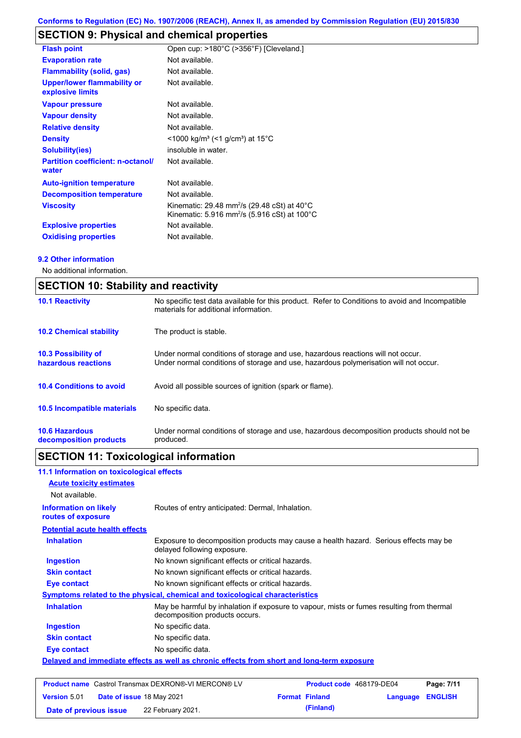# **SECTION 9: Physical and chemical properties**

| <b>Flash point</b>                                     | Open cup: >180°C (>356°F) [Cleveland.]                                                                                                    |
|--------------------------------------------------------|-------------------------------------------------------------------------------------------------------------------------------------------|
| <b>Evaporation rate</b>                                | Not available.                                                                                                                            |
| <b>Flammability (solid, gas)</b>                       | Not available.                                                                                                                            |
| <b>Upper/lower flammability or</b><br>explosive limits | Not available.                                                                                                                            |
| <b>Vapour pressure</b>                                 | Not available.                                                                                                                            |
| <b>Vapour density</b>                                  | Not available.                                                                                                                            |
| <b>Relative density</b>                                | Not available.                                                                                                                            |
| <b>Density</b>                                         | $\leq$ 1000 kg/m <sup>3</sup> (<1 g/cm <sup>3</sup> ) at 15 <sup>°</sup> C                                                                |
| <b>Solubility(ies)</b>                                 | insoluble in water.                                                                                                                       |
| <b>Partition coefficient: n-octanol/</b><br>water      | Not available.                                                                                                                            |
| <b>Auto-ignition temperature</b>                       | Not available.                                                                                                                            |
| <b>Decomposition temperature</b>                       | Not available.                                                                                                                            |
| <b>Viscosity</b>                                       | Kinematic: 29.48 mm <sup>2</sup> /s (29.48 cSt) at 40 $^{\circ}$ C<br>Kinematic: 5.916 mm <sup>2</sup> /s (5.916 cSt) at 100 $^{\circ}$ C |
| <b>Explosive properties</b>                            | Not available.                                                                                                                            |
| <b>Oxidising properties</b>                            | Not available.                                                                                                                            |

### **9.2 Other information**

No additional information.

|                                                   | <b>SECTION 10: Stability and reactivity</b>                                                                                                                             |  |  |
|---------------------------------------------------|-------------------------------------------------------------------------------------------------------------------------------------------------------------------------|--|--|
| <b>10.1 Reactivity</b>                            | No specific test data available for this product. Refer to Conditions to avoid and Incompatible<br>materials for additional information.                                |  |  |
| <b>10.2 Chemical stability</b>                    | The product is stable.                                                                                                                                                  |  |  |
| <b>10.3 Possibility of</b><br>hazardous reactions | Under normal conditions of storage and use, hazardous reactions will not occur.<br>Under normal conditions of storage and use, hazardous polymerisation will not occur. |  |  |
| <b>10.4 Conditions to avoid</b>                   | Avoid all possible sources of ignition (spark or flame).                                                                                                                |  |  |
| 10.5 Incompatible materials                       | No specific data.                                                                                                                                                       |  |  |
| <b>10.6 Hazardous</b><br>decomposition products   | Under normal conditions of storage and use, hazardous decomposition products should not be<br>produced.                                                                 |  |  |

# **SECTION 11: Toxicological information**

| 11.1 Information on toxicological effects                                                                                                                                                                                                                                                                                                                                                                                                                                                  |                                                                                                                             |
|--------------------------------------------------------------------------------------------------------------------------------------------------------------------------------------------------------------------------------------------------------------------------------------------------------------------------------------------------------------------------------------------------------------------------------------------------------------------------------------------|-----------------------------------------------------------------------------------------------------------------------------|
| <b>Acute toxicity estimates</b>                                                                                                                                                                                                                                                                                                                                                                                                                                                            |                                                                                                                             |
| Not available.                                                                                                                                                                                                                                                                                                                                                                                                                                                                             |                                                                                                                             |
| <b>Information on likely</b><br>routes of exposure                                                                                                                                                                                                                                                                                                                                                                                                                                         | Routes of entry anticipated: Dermal, Inhalation.                                                                            |
| <b>Potential acute health effects</b>                                                                                                                                                                                                                                                                                                                                                                                                                                                      |                                                                                                                             |
| <b>Inhalation</b>                                                                                                                                                                                                                                                                                                                                                                                                                                                                          | Exposure to decomposition products may cause a health hazard. Serious effects may be<br>delayed following exposure.         |
| <b>Ingestion</b>                                                                                                                                                                                                                                                                                                                                                                                                                                                                           | No known significant effects or critical hazards.                                                                           |
| <b>Skin contact</b>                                                                                                                                                                                                                                                                                                                                                                                                                                                                        | No known significant effects or critical hazards.                                                                           |
| <b>Eye contact</b>                                                                                                                                                                                                                                                                                                                                                                                                                                                                         | No known significant effects or critical hazards.                                                                           |
|                                                                                                                                                                                                                                                                                                                                                                                                                                                                                            | Symptoms related to the physical, chemical and toxicological characteristics                                                |
| <b>Inhalation</b>                                                                                                                                                                                                                                                                                                                                                                                                                                                                          | May be harmful by inhalation if exposure to vapour, mists or fumes resulting from thermal<br>decomposition products occurs. |
| <b>Ingestion</b>                                                                                                                                                                                                                                                                                                                                                                                                                                                                           | No specific data.                                                                                                           |
| <b>Skin contact</b>                                                                                                                                                                                                                                                                                                                                                                                                                                                                        | No specific data.                                                                                                           |
| Eye contact                                                                                                                                                                                                                                                                                                                                                                                                                                                                                | No specific data.                                                                                                           |
|                                                                                                                                                                                                                                                                                                                                                                                                                                                                                            | Delayed and immediate effects as well as chronic effects from short and long-term exposure                                  |
|                                                                                                                                                                                                                                                                                                                                                                                                                                                                                            |                                                                                                                             |
| $\blacksquare$ $\blacksquare$ $\blacksquare$ $\blacksquare$ $\blacksquare$ $\blacksquare$ $\blacksquare$ $\blacksquare$ $\blacksquare$ $\blacksquare$ $\blacksquare$ $\blacksquare$ $\blacksquare$ $\blacksquare$ $\blacksquare$ $\blacksquare$ $\blacksquare$ $\blacksquare$ $\blacksquare$ $\blacksquare$ $\blacksquare$ $\blacksquare$ $\blacksquare$ $\blacksquare$ $\blacksquare$ $\blacksquare$ $\blacksquare$ $\blacksquare$ $\blacksquare$ $\blacksquare$ $\blacksquare$ $\blacks$ |                                                                                                                             |

|                        | <b>Product name</b> Castrol Transmax DEXRON®-VI MERCON® LV | <b>Product code</b> 468179-DE04 |                  | Page: 7/11 |
|------------------------|------------------------------------------------------------|---------------------------------|------------------|------------|
| <b>Version 5.01</b>    | <b>Date of issue 18 May 2021</b>                           | <b>Format Finland</b>           | Language ENGLISH |            |
| Date of previous issue | 22 February 2021.                                          | (Finland)                       |                  |            |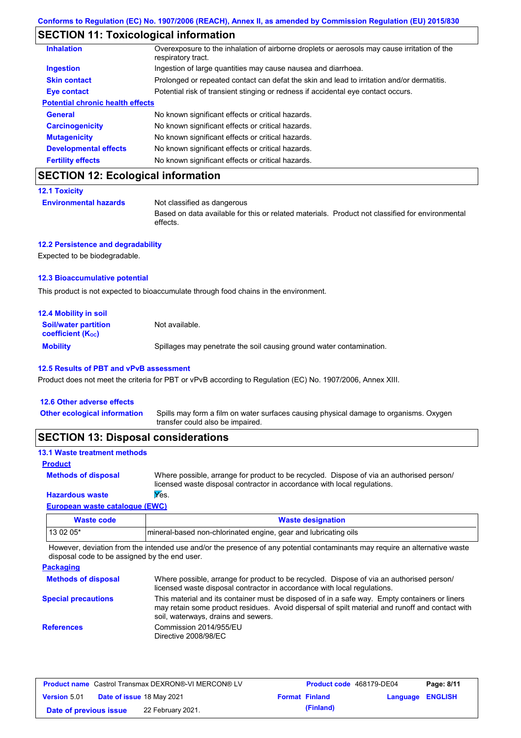## **SECTION 11: Toxicological information**

| <b>Inhalation</b>                       | Overexposure to the inhalation of airborne droplets or aerosols may cause irritation of the<br>respiratory tract. |
|-----------------------------------------|-------------------------------------------------------------------------------------------------------------------|
| <b>Ingestion</b>                        | Ingestion of large quantities may cause nausea and diarrhoea.                                                     |
| <b>Skin contact</b>                     | Prolonged or repeated contact can defat the skin and lead to irritation and/or dermatitis.                        |
| Eye contact                             | Potential risk of transient stinging or redness if accidental eye contact occurs.                                 |
| <b>Potential chronic health effects</b> |                                                                                                                   |
| <b>General</b>                          | No known significant effects or critical hazards.                                                                 |
| <b>Carcinogenicity</b>                  | No known significant effects or critical hazards.                                                                 |
| <b>Mutagenicity</b>                     | No known significant effects or critical hazards.                                                                 |
| <b>Developmental effects</b>            | No known significant effects or critical hazards.                                                                 |
| <b>Fertility effects</b>                | No known significant effects or critical hazards.                                                                 |

# **SECTION 12: Ecological information**

```
12.1 Toxicity
```
**Environmental hazards** Not classified as dangerous

Based on data available for this or related materials. Product not classified for environmental effects.

### **12.2 Persistence and degradability**

Expected to be biodegradable.

### **12.3 Bioaccumulative potential**

This product is not expected to bioaccumulate through food chains in the environment.

| <b>12.4 Mobility in soil</b>                                  |                                                                      |
|---------------------------------------------------------------|----------------------------------------------------------------------|
| <b>Soil/water partition</b><br>coefficient (K <sub>oc</sub> ) | Not available.                                                       |
| <b>Mobility</b>                                               | Spillages may penetrate the soil causing ground water contamination. |

#### **12.5 Results of PBT and vPvB assessment**

Product does not meet the criteria for PBT or vPvB according to Regulation (EC) No. 1907/2006, Annex XIII.

| Spills may form a film on water surfaces causing physical damage to organisms. Oxygen<br><b>Other ecological information</b><br>transfer could also be impaired. | 12.6 Other adverse effects |  |
|------------------------------------------------------------------------------------------------------------------------------------------------------------------|----------------------------|--|
|                                                                                                                                                                  |                            |  |

## **SECTION 13: Disposal considerations**

| <b>13.1 Waste treatment methods</b> |                                                                                                                                                                      |
|-------------------------------------|----------------------------------------------------------------------------------------------------------------------------------------------------------------------|
| <b>Product</b>                      |                                                                                                                                                                      |
| <b>Methods of disposal</b>          | Where possible, arrange for product to be recycled. Dispose of via an authorised person/<br>licensed waste disposal contractor in accordance with local regulations. |
| <b>Hazardous waste</b>              | Yes.                                                                                                                                                                 |
| Fourniers prests established (FINAN |                                                                                                                                                                      |

### **European waste catalogue (EWC)**

| Waste code | <b>Waste designation</b>                                        |
|------------|-----------------------------------------------------------------|
| 13 02 05*  | mineral-based non-chlorinated engine, gear and lubricating oils |

However, deviation from the intended use and/or the presence of any potential contaminants may require an alternative waste disposal code to be assigned by the end user.

| <b>Packaging</b>           |                                                                                                                                                                                                                                         |
|----------------------------|-----------------------------------------------------------------------------------------------------------------------------------------------------------------------------------------------------------------------------------------|
| <b>Methods of disposal</b> | Where possible, arrange for product to be recycled. Dispose of via an authorised person/<br>licensed waste disposal contractor in accordance with local regulations.                                                                    |
| <b>Special precautions</b> | This material and its container must be disposed of in a safe way. Empty containers or liners<br>may retain some product residues. Avoid dispersal of spilt material and runoff and contact with<br>soil, waterways, drains and sewers. |
| <b>References</b>          | Commission 2014/955/EU<br>Directive 2008/98/EC                                                                                                                                                                                          |

| <b>Product name</b> Castrol Transmax DEXRON®-VI MERCON® LV |  |                                  | <b>Product code</b> 468179-DE04 |                       | Page: 8/11              |  |
|------------------------------------------------------------|--|----------------------------------|---------------------------------|-----------------------|-------------------------|--|
| <b>Version 5.01</b>                                        |  | <b>Date of issue 18 May 2021</b> |                                 | <b>Format Finland</b> | <b>Language ENGLISH</b> |  |
| Date of previous issue                                     |  | 22 February 2021.                |                                 | (Finland)             |                         |  |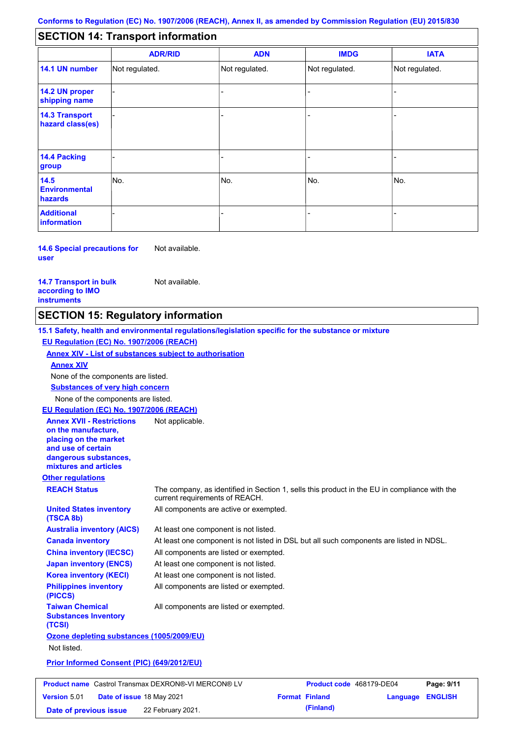#### - - - - - - - - - Not regulated. Not regulated. Not regulated. - - - **SECTION 14: Transport information ADR/RID IMDG IATA 14.1 UN number 14.2 UN proper shipping name 14.3 Transport hazard class(es) 14.4 Packing group ADN Additional information 14.5 Environmental hazards** No. 1988 | No. 1989 | No. 1989 | No. 1989 | No. 1989 | No. 1989 | No. 1989 | No. 1989 | No. 1989 | No. 1989 | Not regulated. - -<br>No. - -

**14.6 Special precautions for user** Not available.

**14.7 Transport in bulk according to IMO instruments**

**Version** 5.01

Not available.

## **SECTION 15: Regulatory information**

**Other regulations REACH Status** The company, as identified in Section 1, sells this product in the EU in compliance with the current requirements of REACH. **15.1 Safety, health and environmental regulations/legislation specific for the substance or mixture EU Regulation (EC) No. 1907/2006 (REACH) Annex XIV - List of substances subject to authorisation Substances of very high concern** None of the components are listed. At least one component is not listed. At least one component is not listed in DSL but all such components are listed in NDSL. All components are listed or exempted. At least one component is not listed. All components are active or exempted. At least one component is not listed. All components are listed or exempted. **United States inventory (TSCA 8b) Australia inventory (AICS) Canada inventory China inventory (IECSC) Japan inventory (ENCS) Korea inventory (KECI) Philippines inventory (PICCS) Taiwan Chemical Substances Inventory (TCSI)** All components are listed or exempted. **Ozone depleting substances (1005/2009/EU)** Not listed. **Prior Informed Consent (PIC) (649/2012/EU)** None of the components are listed. **Annex XIV EU Regulation (EC) No. 1907/2006 (REACH) Annex XVII - Restrictions on the manufacture, placing on the market and use of certain dangerous substances, mixtures and articles** Not applicable. **Product name** Castrol Transmax DEXRON®-VI MERCON® LV **Product code** 468179-DE04 **Page: 9/11** |

**Date of issue** 18 May 2021 **Format Finland Language ENGLISH Date of previous issue (Finland)** 22 February 2021.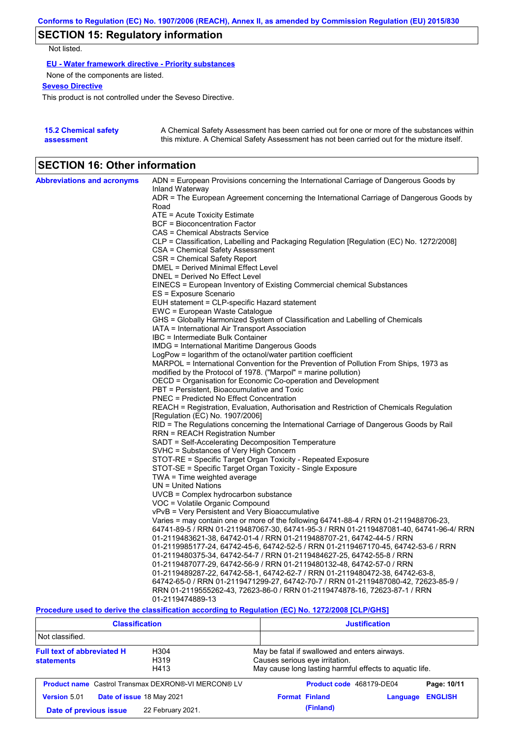# **SECTION 15: Regulatory information**

Not listed.

**EU - Water framework directive - Priority substances**

None of the components are listed.

**Seveso Directive**

This product is not controlled under the Seveso Directive.

| <b>15.2 Chemical safety</b> | A Chemical Safety Assessment has been carried out for one or more of the substances within  |
|-----------------------------|---------------------------------------------------------------------------------------------|
| assessment                  | this mixture. A Chemical Safety Assessment has not been carried out for the mixture itself. |

## **SECTION 16: Other information**

| <b>Abbreviations and acronyms</b> | ADN = European Provisions concerning the International Carriage of Dangerous Goods by               |
|-----------------------------------|-----------------------------------------------------------------------------------------------------|
|                                   | <b>Inland Waterway</b>                                                                              |
|                                   | ADR = The European Agreement concerning the International Carriage of Dangerous Goods by<br>Road    |
|                                   | $ATE = Acute Toxicity Estimate$                                                                     |
|                                   | BCF = Bioconcentration Factor                                                                       |
|                                   | CAS = Chemical Abstracts Service                                                                    |
|                                   | CLP = Classification, Labelling and Packaging Regulation [Regulation (EC) No. 1272/2008]            |
|                                   | CSA = Chemical Safety Assessment                                                                    |
|                                   | CSR = Chemical Safety Report                                                                        |
|                                   | DMEL = Derived Minimal Effect Level                                                                 |
|                                   | DNEL = Derived No Effect Level                                                                      |
|                                   | EINECS = European Inventory of Existing Commercial chemical Substances                              |
|                                   | ES = Exposure Scenario                                                                              |
|                                   | EUH statement = CLP-specific Hazard statement                                                       |
|                                   | EWC = European Waste Catalogue                                                                      |
|                                   | GHS = Globally Harmonized System of Classification and Labelling of Chemicals                       |
|                                   | IATA = International Air Transport Association                                                      |
|                                   | IBC = Intermediate Bulk Container                                                                   |
|                                   | IMDG = International Maritime Dangerous Goods                                                       |
|                                   | LogPow = logarithm of the octanol/water partition coefficient                                       |
|                                   | MARPOL = International Convention for the Prevention of Pollution From Ships, 1973 as               |
|                                   | modified by the Protocol of 1978. ("Marpol" = marine pollution)                                     |
|                                   | OECD = Organisation for Economic Co-operation and Development                                       |
|                                   | PBT = Persistent, Bioaccumulative and Toxic                                                         |
|                                   | <b>PNEC = Predicted No Effect Concentration</b>                                                     |
|                                   | REACH = Registration, Evaluation, Authorisation and Restriction of Chemicals Regulation             |
|                                   | [Regulation (EC) No. 1907/2006]                                                                     |
|                                   | RID = The Regulations concerning the International Carriage of Dangerous Goods by Rail              |
|                                   | RRN = REACH Registration Number                                                                     |
|                                   | SADT = Self-Accelerating Decomposition Temperature                                                  |
|                                   | SVHC = Substances of Very High Concern                                                              |
|                                   | STOT-RE = Specific Target Organ Toxicity - Repeated Exposure                                        |
|                                   | STOT-SE = Specific Target Organ Toxicity - Single Exposure                                          |
|                                   | TWA = Time weighted average<br>$UN = United Nations$                                                |
|                                   | UVCB = Complex hydrocarbon substance                                                                |
|                                   | VOC = Volatile Organic Compound                                                                     |
|                                   | vPvB = Very Persistent and Very Bioaccumulative                                                     |
|                                   | Varies = may contain one or more of the following 64741-88-4 / RRN 01-2119488706-23,                |
|                                   | 64741-89-5 / RRN 01-2119487067-30, 64741-95-3 / RRN 01-2119487081-40, 64741-96-4/ RRN               |
|                                   | 01-2119483621-38, 64742-01-4 / RRN 01-2119488707-21, 64742-44-5 / RRN                               |
|                                   | 01-2119985177-24, 64742-45-6, 64742-52-5 / RRN 01-2119467170-45, 64742-53-6 / RRN                   |
|                                   | 01-2119480375-34, 64742-54-7 / RRN 01-2119484627-25, 64742-55-8 / RRN                               |
|                                   | 01-2119487077-29, 64742-56-9 / RRN 01-2119480132-48, 64742-57-0 / RRN                               |
|                                   | 01-2119489287-22, 64742-58-1, 64742-62-7 / RRN 01-2119480472-38, 64742-63-8,                        |
|                                   | 64742-65-0 / RRN 01-2119471299-27, 64742-70-7 / RRN 01-2119487080-42, 72623-85-9 /                  |
|                                   | RRN 01-2119555262-43, 72623-86-0 / RRN 01-2119474878-16, 72623-87-1 / RRN                           |
|                                   | 01-2119474889-13                                                                                    |
|                                   | Description used to device the classification essentian to Depulation (EO) No. 4979/9000 [O] DIOU01 |

**Procedure used to derive the classification according to Regulation (EC) No. 1272/2008 [CLP/GHS]**

| <b>Classification</b>                                                          |                           | <b>Justification</b>                                                                                                                       |  |  |
|--------------------------------------------------------------------------------|---------------------------|--------------------------------------------------------------------------------------------------------------------------------------------|--|--|
| Not classified.                                                                |                           |                                                                                                                                            |  |  |
| <b>Full text of abbreviated H</b><br>H304<br>H319<br><b>statements</b><br>H413 |                           | May be fatal if swallowed and enters airways.<br>Causes serious eye irritation.<br>May cause long lasting harmful effects to aquatic life. |  |  |
| <b>Product name</b> Castrol Transmax DEXRON®-VI MERCON® LV                     |                           | Product code 468179-DE04<br>Page: 10/11                                                                                                    |  |  |
| <b>Version 5.01</b>                                                            | Date of issue 18 May 2021 | <b>Format Finland</b><br><b>ENGLISH</b><br>Language                                                                                        |  |  |
| Date of previous issue                                                         | 22 February 2021.         | (Finland)                                                                                                                                  |  |  |